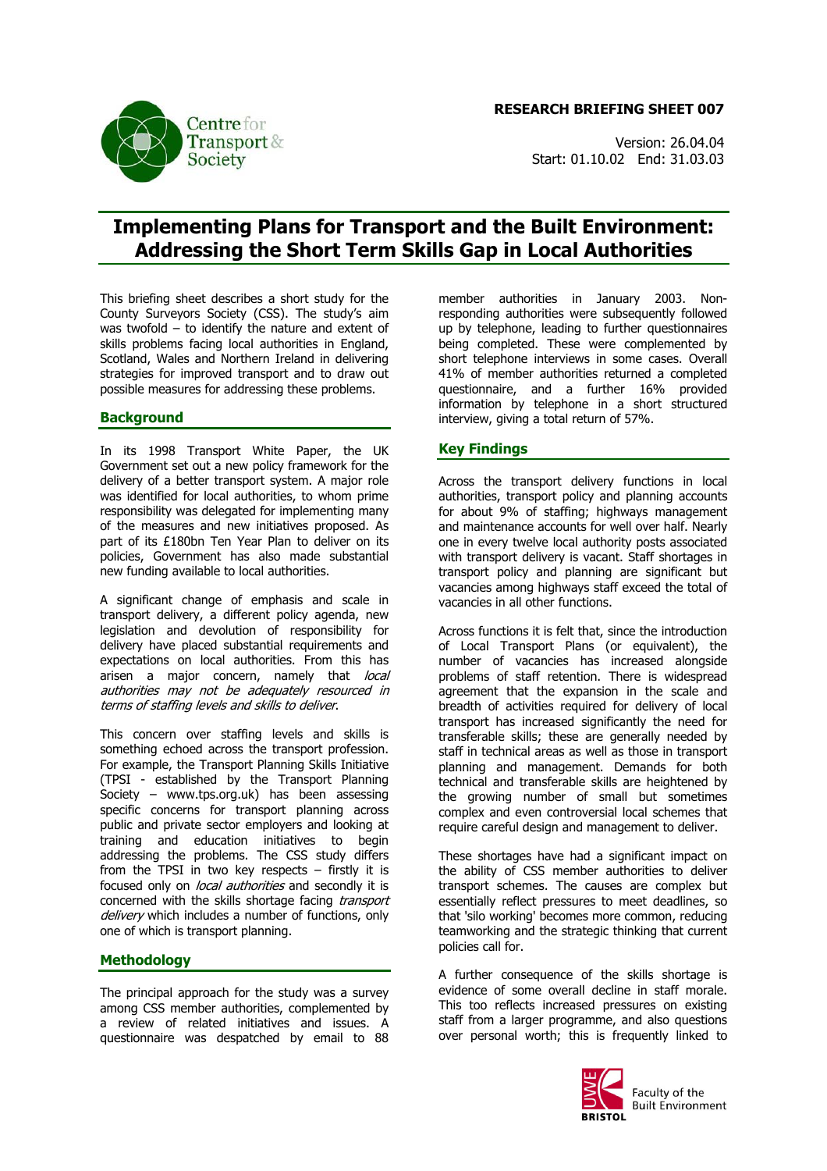**RESEARCH BRIEFING SHEET 007**

Version: 26.04.04 Start: 01.10.02 End: 31.03.03

# **Implementing Plans for Transport and the Built Environment: Addressing the Short Term Skills Gap in Local Authorities**

This briefing sheet describes a short study for the County Surveyors Society (CSS). The study's aim was twofold – to identify the nature and extent of skills problems facing local authorities in England, Scotland, Wales and Northern Ireland in delivering strategies for improved transport and to draw out possible measures for addressing these problems.

## **Background**

In its 1998 Transport White Paper, the UK Government set out a new policy framework for the delivery of a better transport system. A major role was identified for local authorities, to whom prime responsibility was delegated for implementing many of the measures and new initiatives proposed. As part of its £180bn Ten Year Plan to deliver on its policies, Government has also made substantial new funding available to local authorities.

A significant change of emphasis and scale in transport delivery, a different policy agenda, new legislation and devolution of responsibility for delivery have placed substantial requirements and expectations on local authorities. From this has arisen a major concern, namely that local authorities may not be adequately resourced in terms of staffing levels and skills to deliver.

This concern over staffing levels and skills is something echoed across the transport profession. For example, the Transport Planning Skills Initiative (TPSI - established by the Transport Planning Society – www.tps.org.uk) has been assessing specific concerns for transport planning across public and private sector employers and looking at training and education initiatives to begin addressing the problems. The CSS study differs from the TPSI in two key respects  $-$  firstly it is focused only on *local authorities* and secondly it is concerned with the skills shortage facing *transport* delivery which includes a number of functions, only one of which is transport planning.

### **Methodology**

The principal approach for the study was a survey among CSS member authorities, complemented by a review of related initiatives and issues. A questionnaire was despatched by email to 88 member authorities in January 2003. Nonresponding authorities were subsequently followed up by telephone, leading to further questionnaires being completed. These were complemented by short telephone interviews in some cases. Overall 41% of member authorities returned a completed questionnaire, and a further 16% provided information by telephone in a short structured interview, giving a total return of 57%.

### **Key Findings**

Across the transport delivery functions in local authorities, transport policy and planning accounts for about 9% of staffing; highways management and maintenance accounts for well over half. Nearly one in every twelve local authority posts associated with transport delivery is vacant. Staff shortages in transport policy and planning are significant but vacancies among highways staff exceed the total of vacancies in all other functions.

Across functions it is felt that, since the introduction of Local Transport Plans (or equivalent), the number of vacancies has increased alongside problems of staff retention. There is widespread agreement that the expansion in the scale and breadth of activities required for delivery of local transport has increased significantly the need for transferable skills; these are generally needed by staff in technical areas as well as those in transport planning and management. Demands for both technical and transferable skills are heightened by the growing number of small but sometimes complex and even controversial local schemes that require careful design and management to deliver.

These shortages have had a significant impact on the ability of CSS member authorities to deliver transport schemes. The causes are complex but essentially reflect pressures to meet deadlines, so that 'silo working' becomes more common, reducing teamworking and the strategic thinking that current policies call for.

A further consequence of the skills shortage is evidence of some overall decline in staff morale. This too reflects increased pressures on existing staff from a larger programme, and also questions over personal worth; this is frequently linked to